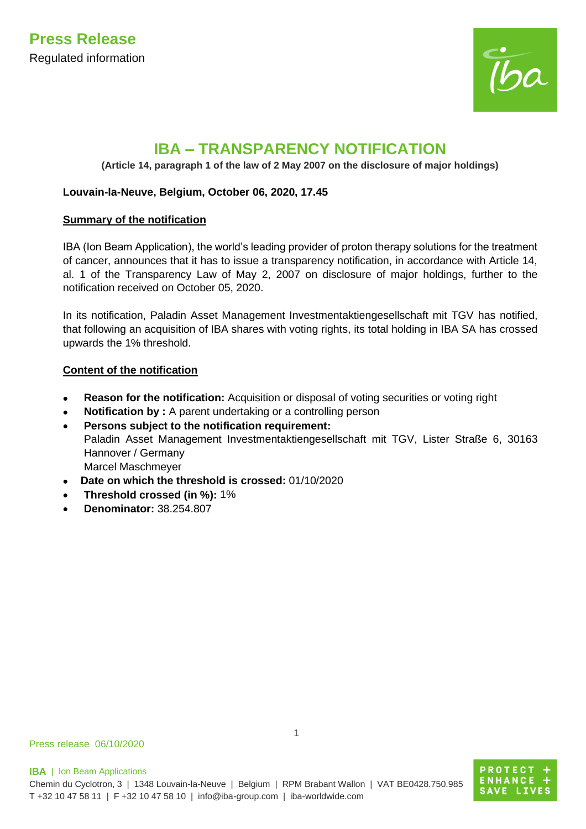

# **IBA – TRANSPARENCY NOTIFICATION**

**(Article 14, paragraph 1 of the law of 2 May 2007 on the disclosure of major holdings)**

# **Louvain-la-Neuve, Belgium, October 06, 2020, 17.45**

## **Summary of the notification**

IBA (Ion Beam Application), the world's leading provider of proton therapy solutions for the treatment of cancer, announces that it has to issue a transparency notification, in accordance with Article 14, al. 1 of the Transparency Law of May 2, 2007 on disclosure of major holdings, further to the notification received on October 05, 2020.

In its notification, Paladin Asset Management Investmentaktiengesellschaft mit TGV has notified, that following an acquisition of IBA shares with voting rights, its total holding in IBA SA has crossed upwards the 1% threshold.

# **Content of the notification**

- **Reason for the notification:** Acquisition or disposal of voting securities or voting right
- **Notification by :** A parent undertaking or a controlling person
- **Persons subject to the notification requirement:** Paladin Asset Management Investmentaktiengesellschaft mit TGV, Lister Straße 6, 30163 Hannover / Germany Marcel Maschmeyer
- **Date on which the threshold is crossed:** 01/10/2020
- **Threshold crossed (in %):** 1%
- **Denominator:** 38.254.807

Press release 06/10/2020

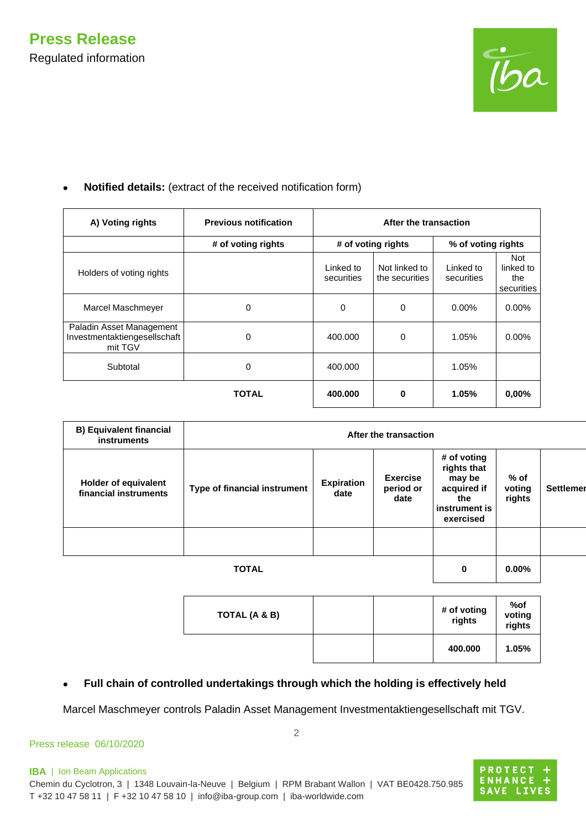

| A) Voting rights                                                    | <b>Previous notification</b> | After the transaction   |                                 |                         |                                       |
|---------------------------------------------------------------------|------------------------------|-------------------------|---------------------------------|-------------------------|---------------------------------------|
|                                                                     | # of voting rights           |                         | # of voting rights              | % of voting rights      |                                       |
| Holders of voting rights                                            |                              | Linked to<br>securities | Not linked to<br>the securities | Linked to<br>securities | Not<br>linked to<br>the<br>securities |
| Marcel Maschmeyer                                                   | 0                            | 0                       | $\Omega$                        | $0.00\%$                | $0.00\%$                              |
| Paladin Asset Management<br>Investmentaktiengesellschaft<br>mit TGV | 0                            | 400.000                 | $\Omega$                        | 1.05%                   | $0.00\%$                              |
| Subtotal                                                            | 0                            | 400.000                 |                                 | 1.05%                   |                                       |
|                                                                     | <b>TOTAL</b>                 | 400.000                 | $\bf{0}$                        | 1.05%                   | $0.00\%$                              |

## • **Notified details:** (extract of the received notification form)

| <b>B) Equivalent financial</b><br><b>instruments</b> | After the transaction        |                           |                                      |                                                                                          |                          |                  |  |
|------------------------------------------------------|------------------------------|---------------------------|--------------------------------------|------------------------------------------------------------------------------------------|--------------------------|------------------|--|
| <b>Holder of equivalent</b><br>financial instruments | Type of financial instrument | <b>Expiration</b><br>date | <b>Exercise</b><br>period or<br>date | # of voting<br>rights that<br>may be<br>acquired if<br>the<br>instrument is<br>exercised | % of<br>voting<br>rights | <b>Settlemen</b> |  |
|                                                      |                              |                           |                                      |                                                                                          |                          |                  |  |
|                                                      | <b>TOTAL</b>                 |                           |                                      | 0                                                                                        | $0.00\%$                 |                  |  |

| TOTAL (A & B) |  | # of voting<br>rights | %of<br>voting<br>rights |
|---------------|--|-----------------------|-------------------------|
|               |  | 400.000               | 1.05%                   |

# • **Full chain of controlled undertakings through which the holding is effectively held**

Marcel Maschmeyer controls Paladin Asset Management Investmentaktiengesellschaft mit TGV.

#### Press release 06/10/2020